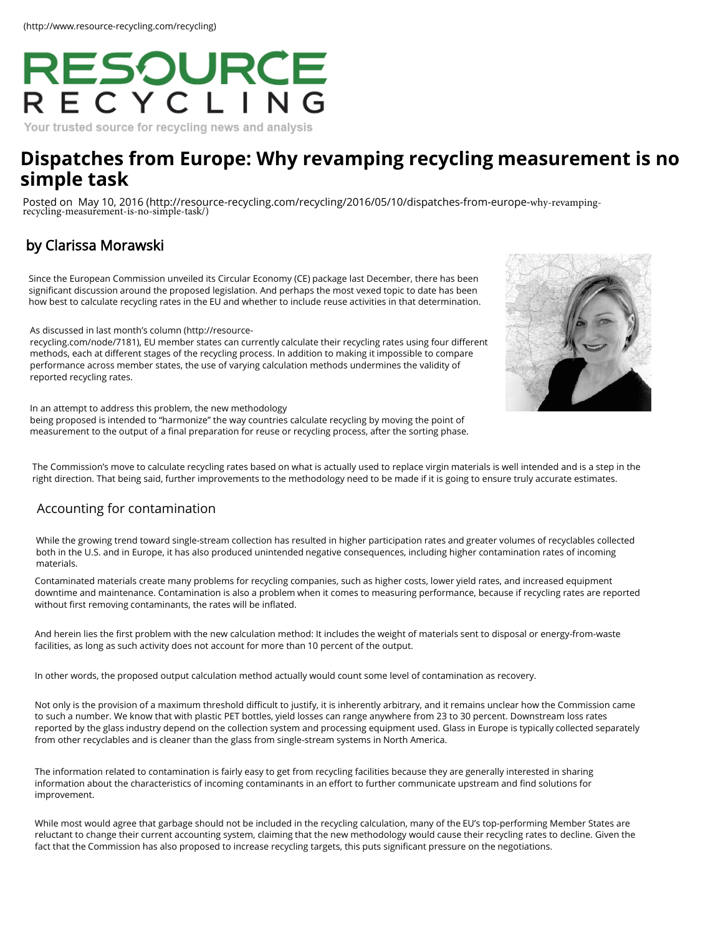# RESOURCE

Your trusted source for recycling news and analysis

# **D[ispatches from Europe: Why revamping recyc](http://resource-recycling.com/recycling/2016/05/10/dispatches-from-europe-why-revamping-recycling-measurement-is-no-simple-task/)ling [measurement is no](https://www.linkedin.com/company/resource-recycling-inc-)  simple task**

Posted on May 10, 2016 (http://resource-recycling.com/recycling/2016/05/10/dispatches-from-europe-why-revampingrecycling-measurement-is-no-simple-task/)

# b[y Clarissa Morawski](http://resource-recycling.com/recycling/2016/05/10/dispatches-from-europe-why-revamping-recycling-measurement-is-no-simple-task/)

Since the European Commission unveiled its Circular Economy (CE) package last December, there has been significant discussion around the proposed legislation. And perhaps the most vexed topic to date has been how best to calculate recycling rates in the EU and whether to include reuse activities in that determination.

#### As discussed in last month's column (http://resource-

r[ecycling.com/node/7181\), EU member states can curr](http://resource-recycling.com/node/7181)ently calculate their recycling rates using four different methods, each at different stages of the recycling process. In addition to making it impossible to compare performance across member states, the use of varying calculation methods undermines the validity of reported recycling rates.



In an attempt to address this problem, the new methodology

being proposed is intended to "harmonize" the way countries calculate recycling by moving the point of measurement to the output of a final preparation for reuse or recycling process, after the sorting phase.

The Commission's move to calculate recycling rates based on what is actually used to replace virgin materials is well intended and is a step in the right direction. That being said, further improvements to the methodology need to be made if it is going to ensure truly accurate estimates.

### Accounting for contamination

While the growing trend toward single-stream collection has resulted in higher participation rates and greater v[olumes of recyclables collected](http://resource-recycling.com/recycling/2016/12/12/study-explores-what-works-and-what-doesnt-do-much-in-curbside-recycling/)  both in the U.S. and in Europe, it has also produced unintended negative consequences, including higher contamination rates of incoming materials.

Contaminated materials create many problems for recycling companies, such as higher costs, lower yield rates, and increased equipment downtime and maintenance. Contamination is also a problem when it comes to measuring performance, because if recycling rates are reported without first removing contaminants, the rates will be inflated.

And herein lies the first problem with the new calculation method: It includes the weight of materials sent to disposal or energy-from-waste facilities, as long as such activity does not account for more than 10 percent of the output.

In other words, the proposed output calculation method actually would count some level of contamination as re[covery.](http://resource-recycling.com/recycling/2016/12/12/solutions-for-cleaning-up-glass-at-the-mrf/)

Not only is the provision of a maximum threshold difficult to justify, it is inherently arbitrary, and it remains unclear how the Commission came to such a number. We know that with plastic PET bottles, yield losses can range anywhere from 23 to 30 percent. Downstream loss rates reported by the glass industry depend on the collection system and processing equipment used. Glass in Europe is typically collected separately from other recyclables and is cleaner than the glass from single-stream systems in North America.

The information related to contamination is fairly easy to get from recycling facilities because they are generally i[nterested in sharing](http://resource-recycling.com/recycling/2016/12/12/los-angeles-adopts-commercial-franchise-recycling/)  information about the characteristics of incoming contaminants in an effort to further communicate upstream and find solutions for improvement.

While most would agree that garbage should not be included in the recycling calculation, many of the EU's top-performing Member States are reluctant to change their current accounting system, claiming that the new methodology would cause their recycling rates to decline. Given the fact that the Commission has also proposed to increase recycling targets, this puts significant pressure on the negotiations.